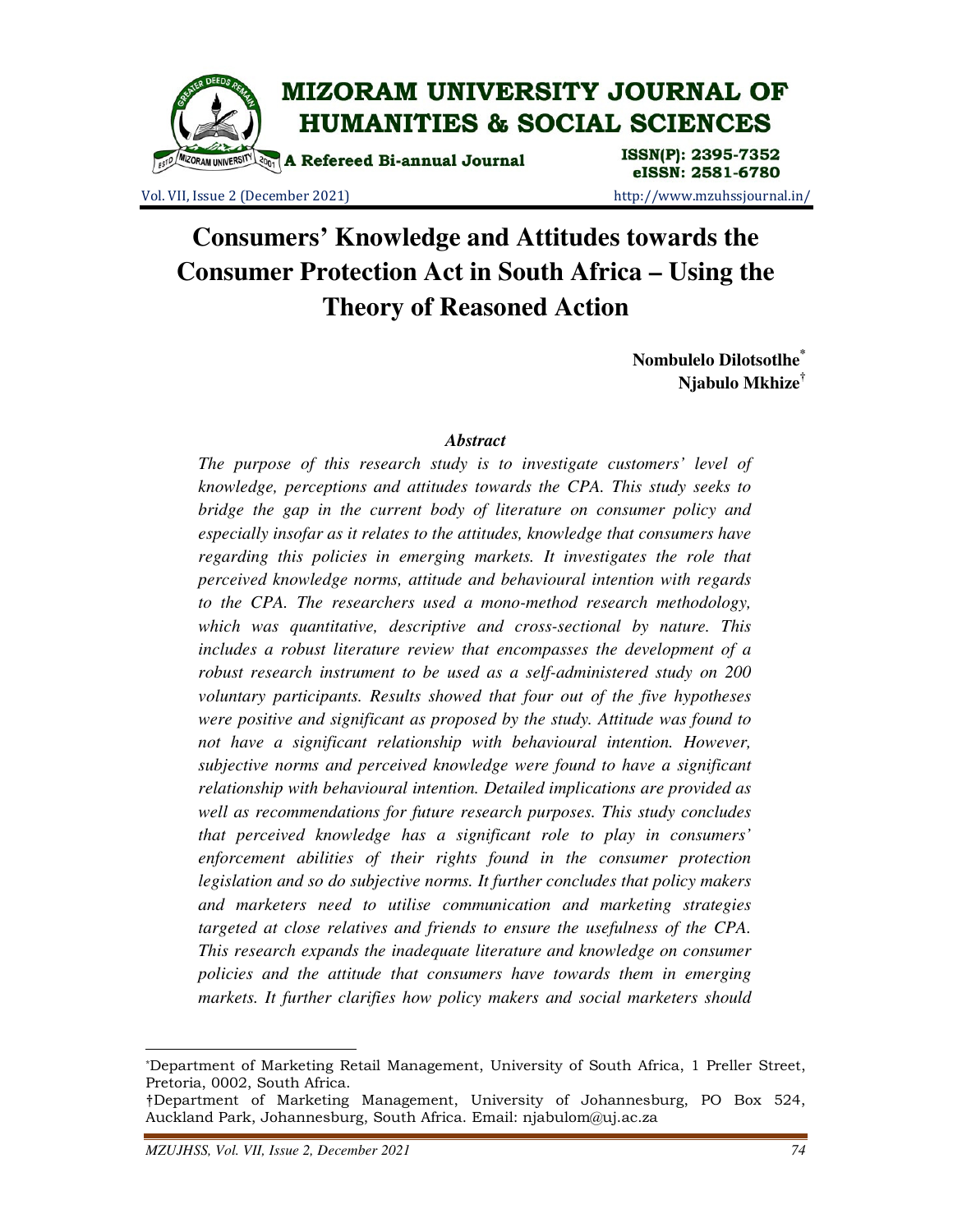

Vol. VII, Issue 2 (December 2021) http://www.mzuhssjournal.in/

eISSN: 2581-6780

# **Consumers' Knowledge and Attitudes towards the Consumer Protection Act in South Africa – Using the Theory of Reasoned Action**

**Nombulelo Dilotsotlhe\* Njabulo Mkhize†**

#### *Abstract*

*The purpose of this research study is to investigate customers' level of knowledge, perceptions and attitudes towards the CPA. This study seeks to bridge the gap in the current body of literature on consumer policy and especially insofar as it relates to the attitudes, knowledge that consumers have regarding this policies in emerging markets. It investigates the role that perceived knowledge norms, attitude and behavioural intention with regards to the CPA. The researchers used a mono-method research methodology, which was quantitative, descriptive and cross-sectional by nature. This includes a robust literature review that encompasses the development of a robust research instrument to be used as a self-administered study on 200 voluntary participants. Results showed that four out of the five hypotheses were positive and significant as proposed by the study. Attitude was found to not have a significant relationship with behavioural intention. However, subjective norms and perceived knowledge were found to have a significant relationship with behavioural intention. Detailed implications are provided as well as recommendations for future research purposes. This study concludes that perceived knowledge has a significant role to play in consumers' enforcement abilities of their rights found in the consumer protection legislation and so do subjective norms. It further concludes that policy makers and marketers need to utilise communication and marketing strategies targeted at close relatives and friends to ensure the usefulness of the CPA. This research expands the inadequate literature and knowledge on consumer policies and the attitude that consumers have towards them in emerging markets. It further clarifies how policy makers and social marketers should* 

 $\overline{a}$ 

<sup>\*</sup>Department of Marketing Retail Management, University of South Africa, 1 Preller Street, Pretoria, 0002, South Africa.

<sup>†</sup>Department of Marketing Management, University of Johannesburg, PO Box 524, Auckland Park, Johannesburg, South Africa. Email: njabulom@uj.ac.za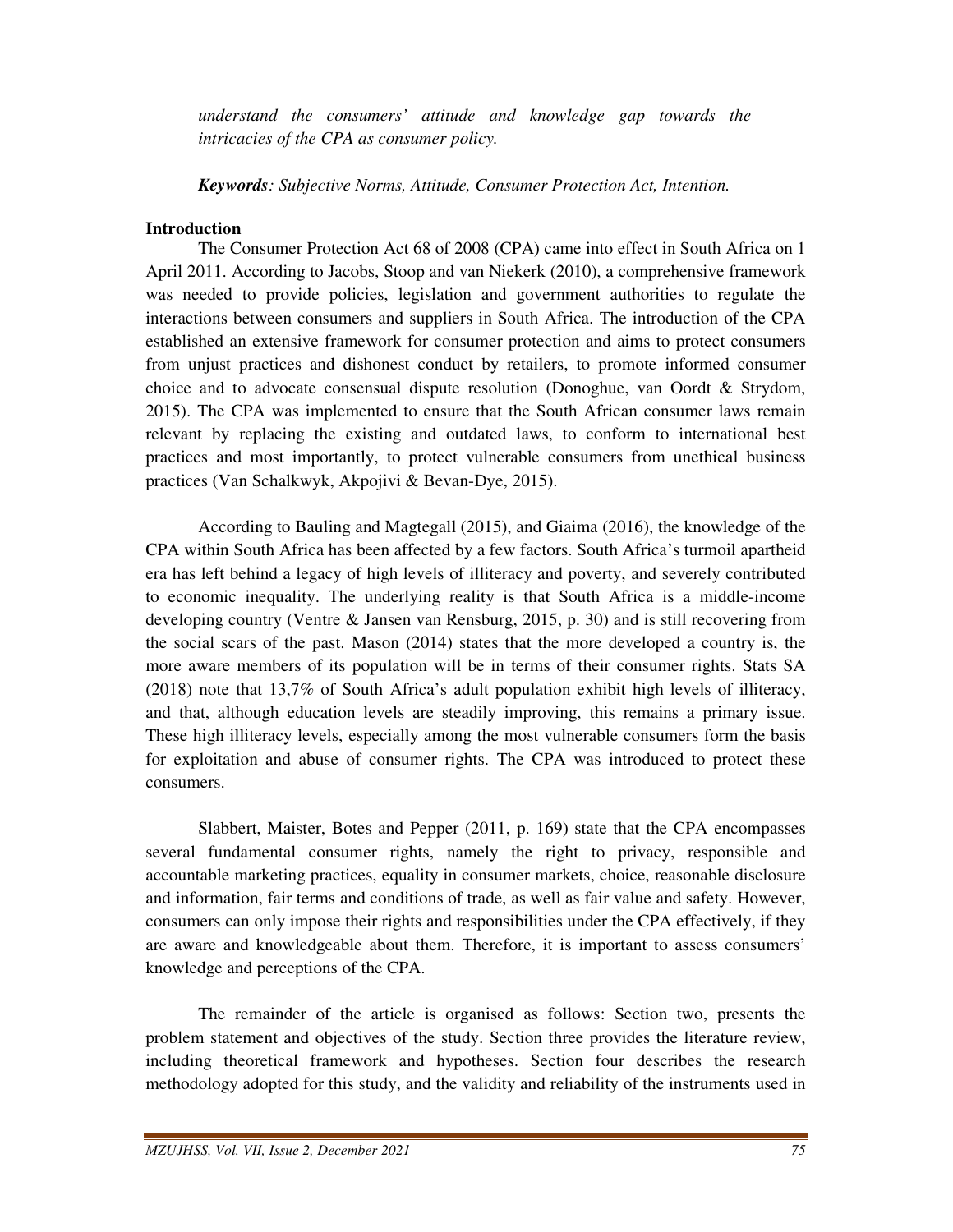*understand the consumers' attitude and knowledge gap towards the intricacies of the CPA as consumer policy.* 

*Keywords: Subjective Norms, Attitude, Consumer Protection Act, Intention.* 

#### **Introduction**

 The Consumer Protection Act 68 of 2008 (CPA) came into effect in South Africa on 1 April 2011. According to Jacobs, Stoop and van Niekerk (2010), a comprehensive framework was needed to provide policies, legislation and government authorities to regulate the interactions between consumers and suppliers in South Africa. The introduction of the CPA established an extensive framework for consumer protection and aims to protect consumers from unjust practices and dishonest conduct by retailers, to promote informed consumer choice and to advocate consensual dispute resolution (Donoghue, van Oordt & Strydom, 2015). The CPA was implemented to ensure that the South African consumer laws remain relevant by replacing the existing and outdated laws, to conform to international best practices and most importantly, to protect vulnerable consumers from unethical business practices (Van Schalkwyk, Akpojivi & Bevan-Dye, 2015).

 According to Bauling and Magtegall (2015), and Giaima (2016), the knowledge of the CPA within South Africa has been affected by a few factors. South Africa's turmoil apartheid era has left behind a legacy of high levels of illiteracy and poverty, and severely contributed to economic inequality. The underlying reality is that South Africa is a middle-income developing country (Ventre & Jansen van Rensburg, 2015, p. 30) and is still recovering from the social scars of the past. Mason (2014) states that the more developed a country is, the more aware members of its population will be in terms of their consumer rights. Stats SA (2018) note that 13,7% of South Africa's adult population exhibit high levels of illiteracy, and that, although education levels are steadily improving, this remains a primary issue. These high illiteracy levels, especially among the most vulnerable consumers form the basis for exploitation and abuse of consumer rights. The CPA was introduced to protect these consumers.

 Slabbert, Maister, Botes and Pepper (2011, p. 169) state that the CPA encompasses several fundamental consumer rights, namely the right to privacy, responsible and accountable marketing practices, equality in consumer markets, choice, reasonable disclosure and information, fair terms and conditions of trade, as well as fair value and safety. However, consumers can only impose their rights and responsibilities under the CPA effectively, if they are aware and knowledgeable about them. Therefore, it is important to assess consumers' knowledge and perceptions of the CPA.

 The remainder of the article is organised as follows: Section two, presents the problem statement and objectives of the study. Section three provides the literature review, including theoretical framework and hypotheses. Section four describes the research methodology adopted for this study, and the validity and reliability of the instruments used in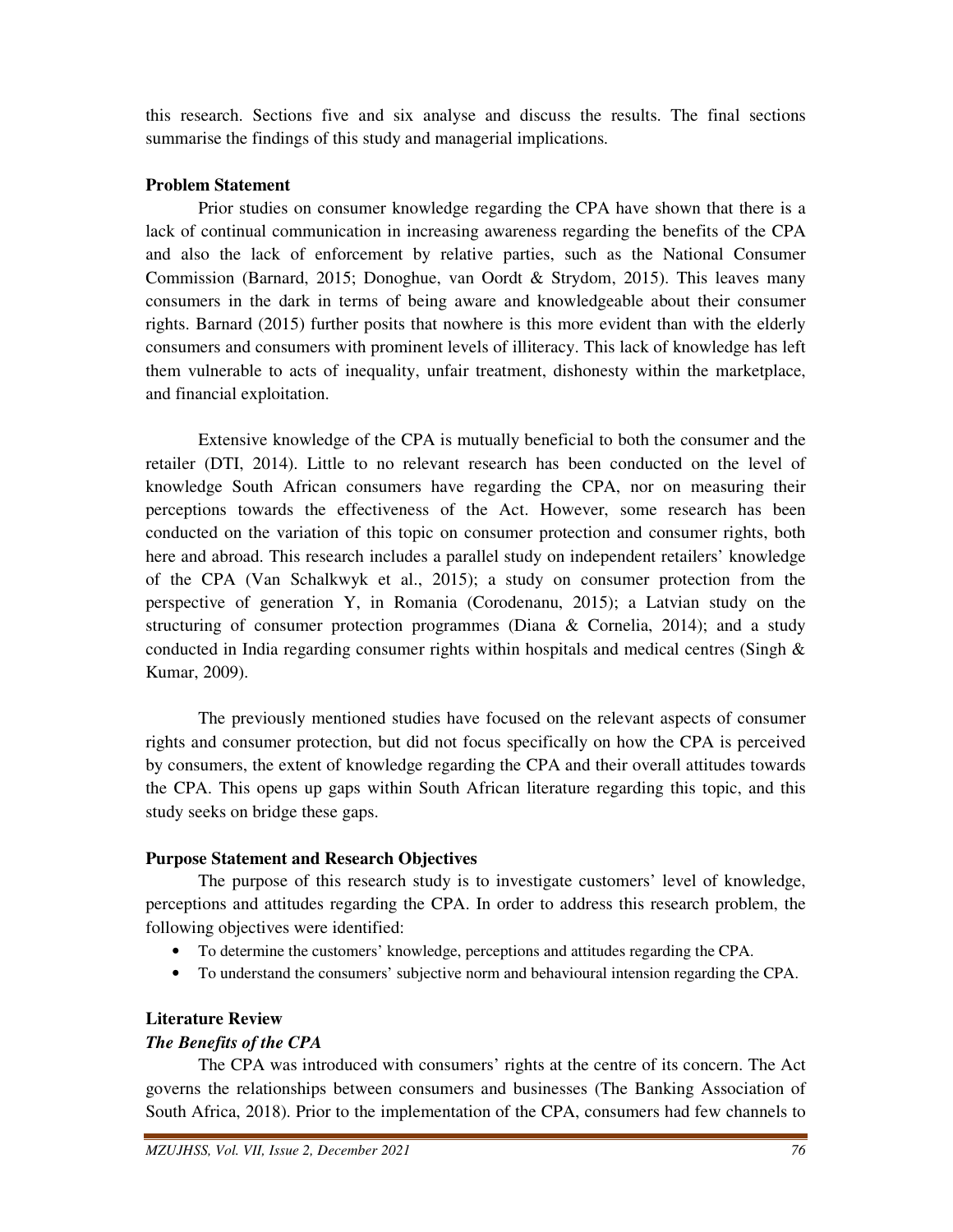this research. Sections five and six analyse and discuss the results. The final sections summarise the findings of this study and managerial implications.

## **Problem Statement**

 Prior studies on consumer knowledge regarding the CPA have shown that there is a lack of continual communication in increasing awareness regarding the benefits of the CPA and also the lack of enforcement by relative parties, such as the National Consumer Commission (Barnard, 2015; Donoghue, van Oordt & Strydom, 2015). This leaves many consumers in the dark in terms of being aware and knowledgeable about their consumer rights. Barnard (2015) further posits that nowhere is this more evident than with the elderly consumers and consumers with prominent levels of illiteracy. This lack of knowledge has left them vulnerable to acts of inequality, unfair treatment, dishonesty within the marketplace, and financial exploitation.

 Extensive knowledge of the CPA is mutually beneficial to both the consumer and the retailer (DTI, 2014). Little to no relevant research has been conducted on the level of knowledge South African consumers have regarding the CPA, nor on measuring their perceptions towards the effectiveness of the Act. However, some research has been conducted on the variation of this topic on consumer protection and consumer rights, both here and abroad. This research includes a parallel study on independent retailers' knowledge of the CPA (Van Schalkwyk et al., 2015); a study on consumer protection from the perspective of generation Y, in Romania (Corodenanu, 2015); a Latvian study on the structuring of consumer protection programmes (Diana & Cornelia, 2014); and a study conducted in India regarding consumer rights within hospitals and medical centres (Singh & Kumar, 2009).

 The previously mentioned studies have focused on the relevant aspects of consumer rights and consumer protection, but did not focus specifically on how the CPA is perceived by consumers, the extent of knowledge regarding the CPA and their overall attitudes towards the CPA. This opens up gaps within South African literature regarding this topic, and this study seeks on bridge these gaps.

## **Purpose Statement and Research Objectives**

 The purpose of this research study is to investigate customers' level of knowledge, perceptions and attitudes regarding the CPA. In order to address this research problem, the following objectives were identified:

- To determine the customers' knowledge, perceptions and attitudes regarding the CPA.
- To understand the consumers' subjective norm and behavioural intension regarding the CPA.

## **Literature Review**

## *The Benefits of the CPA*

 The CPA was introduced with consumers' rights at the centre of its concern. The Act governs the relationships between consumers and businesses (The Banking Association of South Africa, 2018). Prior to the implementation of the CPA, consumers had few channels to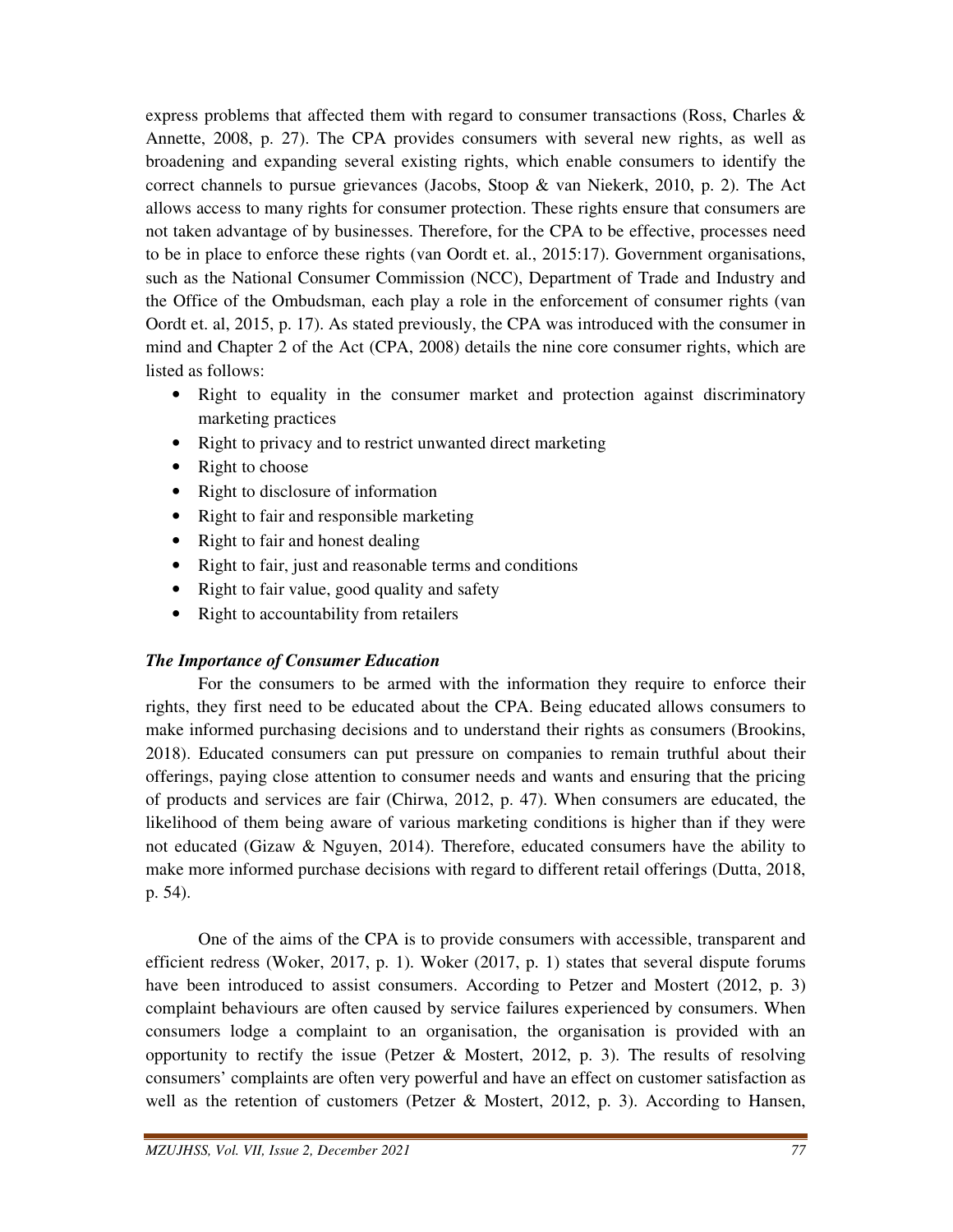express problems that affected them with regard to consumer transactions (Ross, Charles  $\&$ Annette, 2008, p. 27). The CPA provides consumers with several new rights, as well as broadening and expanding several existing rights, which enable consumers to identify the correct channels to pursue grievances (Jacobs, Stoop & van Niekerk, 2010, p. 2). The Act allows access to many rights for consumer protection. These rights ensure that consumers are not taken advantage of by businesses. Therefore, for the CPA to be effective, processes need to be in place to enforce these rights (van Oordt et. al., 2015:17). Government organisations, such as the National Consumer Commission (NCC), Department of Trade and Industry and the Office of the Ombudsman, each play a role in the enforcement of consumer rights (van Oordt et. al, 2015, p. 17). As stated previously, the CPA was introduced with the consumer in mind and Chapter 2 of the Act (CPA, 2008) details the nine core consumer rights, which are listed as follows:

- Right to equality in the consumer market and protection against discriminatory marketing practices
- Right to privacy and to restrict unwanted direct marketing
- Right to choose
- Right to disclosure of information
- Right to fair and responsible marketing
- Right to fair and honest dealing
- Right to fair, just and reasonable terms and conditions
- Right to fair value, good quality and safety
- Right to accountability from retailers

## *The Importance of Consumer Education*

 For the consumers to be armed with the information they require to enforce their rights, they first need to be educated about the CPA. Being educated allows consumers to make informed purchasing decisions and to understand their rights as consumers (Brookins, 2018). Educated consumers can put pressure on companies to remain truthful about their offerings, paying close attention to consumer needs and wants and ensuring that the pricing of products and services are fair (Chirwa, 2012, p. 47). When consumers are educated, the likelihood of them being aware of various marketing conditions is higher than if they were not educated (Gizaw & Nguyen, 2014). Therefore, educated consumers have the ability to make more informed purchase decisions with regard to different retail offerings (Dutta, 2018, p. 54).

 One of the aims of the CPA is to provide consumers with accessible, transparent and efficient redress (Woker, 2017, p. 1). Woker (2017, p. 1) states that several dispute forums have been introduced to assist consumers. According to Petzer and Mostert (2012, p. 3) complaint behaviours are often caused by service failures experienced by consumers. When consumers lodge a complaint to an organisation, the organisation is provided with an opportunity to rectify the issue (Petzer & Mostert, 2012, p. 3). The results of resolving consumers' complaints are often very powerful and have an effect on customer satisfaction as well as the retention of customers (Petzer & Mostert, 2012, p. 3). According to Hansen,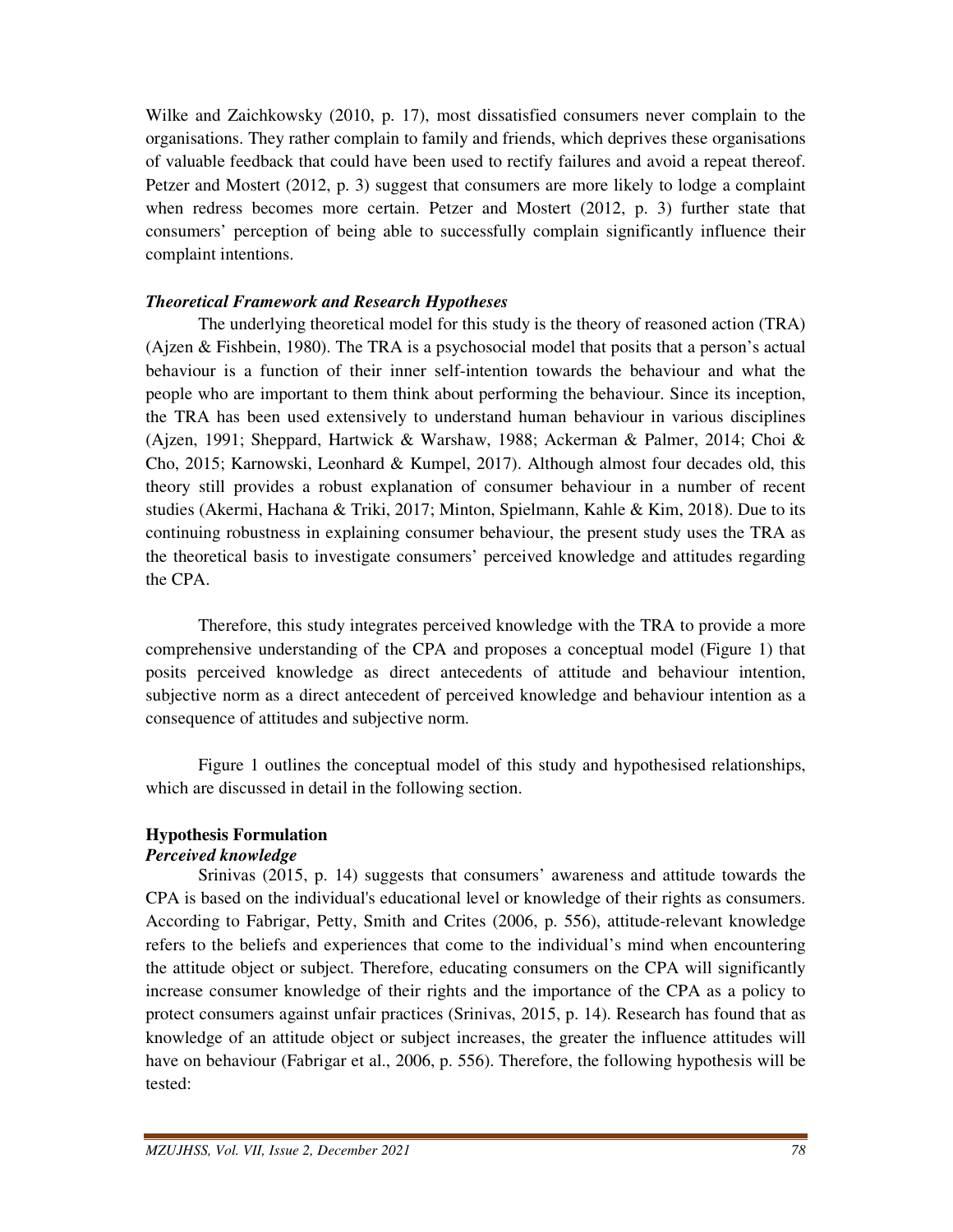Wilke and Zaichkowsky (2010, p. 17), most dissatisfied consumers never complain to the organisations. They rather complain to family and friends, which deprives these organisations of valuable feedback that could have been used to rectify failures and avoid a repeat thereof. Petzer and Mostert (2012, p. 3) suggest that consumers are more likely to lodge a complaint when redress becomes more certain. Petzer and Mostert (2012, p. 3) further state that consumers' perception of being able to successfully complain significantly influence their complaint intentions.

#### *Theoretical Framework and Research Hypotheses*

 The underlying theoretical model for this study is the theory of reasoned action (TRA) (Ajzen & Fishbein, 1980). The TRA is a psychosocial model that posits that a person's actual behaviour is a function of their inner self-intention towards the behaviour and what the people who are important to them think about performing the behaviour. Since its inception, the TRA has been used extensively to understand human behaviour in various disciplines (Ajzen, 1991; Sheppard, Hartwick & Warshaw, 1988; Ackerman & Palmer, 2014; Choi & Cho, 2015; Karnowski, Leonhard & Kumpel, 2017). Although almost four decades old, this theory still provides a robust explanation of consumer behaviour in a number of recent studies (Akermi, Hachana & Triki, 2017; Minton, Spielmann, Kahle & Kim, 2018). Due to its continuing robustness in explaining consumer behaviour, the present study uses the TRA as the theoretical basis to investigate consumers' perceived knowledge and attitudes regarding the CPA.

 Therefore, this study integrates perceived knowledge with the TRA to provide a more comprehensive understanding of the CPA and proposes a conceptual model (Figure 1) that posits perceived knowledge as direct antecedents of attitude and behaviour intention, subjective norm as a direct antecedent of perceived knowledge and behaviour intention as a consequence of attitudes and subjective norm.

 Figure 1 outlines the conceptual model of this study and hypothesised relationships, which are discussed in detail in the following section.

#### **Hypothesis Formulation**  *Perceived knowledge*

 Srinivas (2015, p. 14) suggests that consumers' awareness and attitude towards the CPA is based on the individual's educational level or knowledge of their rights as consumers. According to Fabrigar, Petty, Smith and Crites (2006, p. 556), attitude-relevant knowledge refers to the beliefs and experiences that come to the individual's mind when encountering the attitude object or subject. Therefore, educating consumers on the CPA will significantly increase consumer knowledge of their rights and the importance of the CPA as a policy to protect consumers against unfair practices (Srinivas, 2015, p. 14). Research has found that as knowledge of an attitude object or subject increases, the greater the influence attitudes will have on behaviour (Fabrigar et al., 2006, p. 556). Therefore, the following hypothesis will be tested: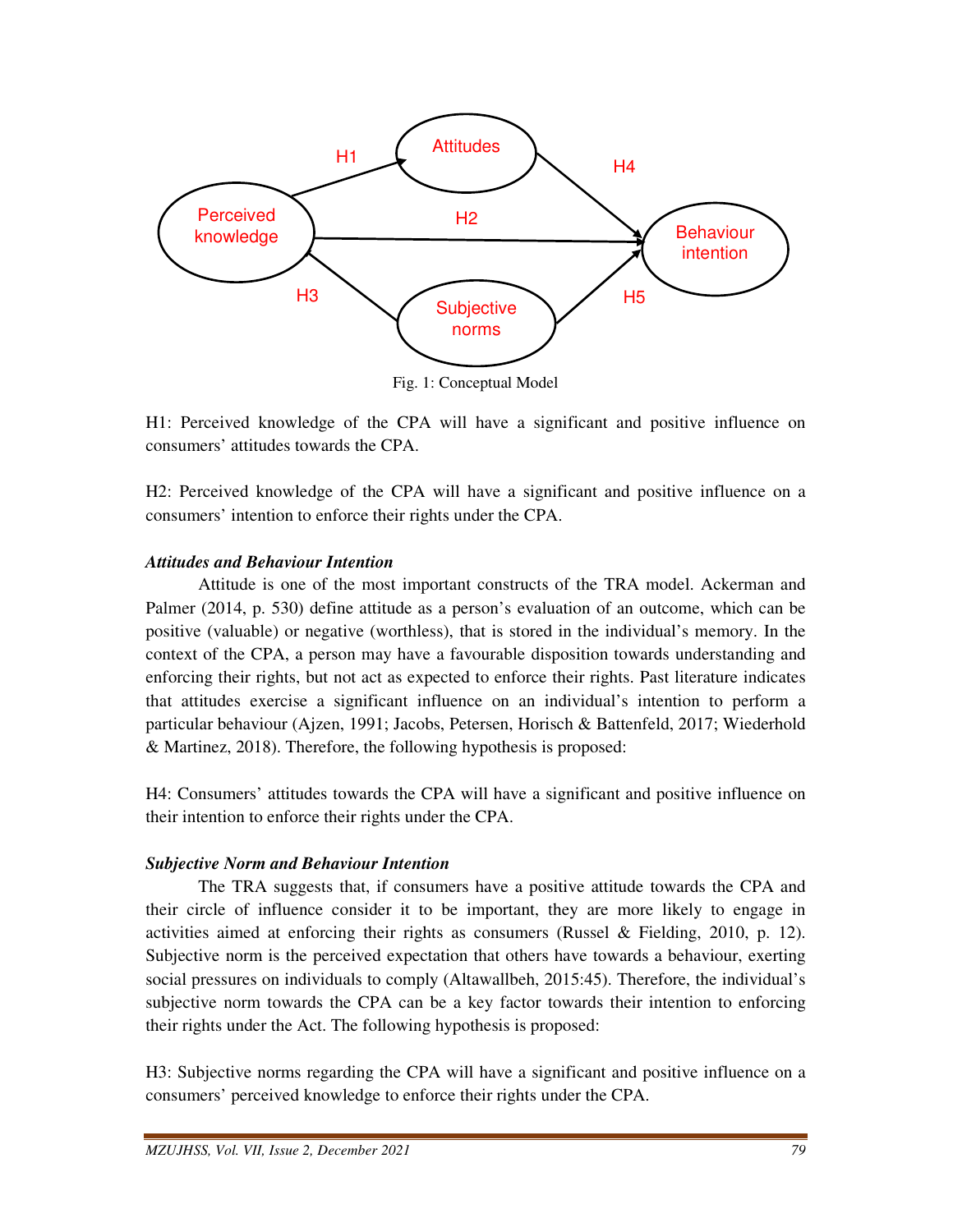

H1: Perceived knowledge of the CPA will have a significant and positive influence on consumers' attitudes towards the CPA.

H2: Perceived knowledge of the CPA will have a significant and positive influence on a consumers' intention to enforce their rights under the CPA.

#### *Attitudes and Behaviour Intention*

 Attitude is one of the most important constructs of the TRA model. Ackerman and Palmer (2014, p. 530) define attitude as a person's evaluation of an outcome, which can be positive (valuable) or negative (worthless), that is stored in the individual's memory. In the context of the CPA, a person may have a favourable disposition towards understanding and enforcing their rights, but not act as expected to enforce their rights. Past literature indicates that attitudes exercise a significant influence on an individual's intention to perform a particular behaviour (Ajzen, 1991; Jacobs, Petersen, Horisch & Battenfeld, 2017; Wiederhold & Martinez, 2018). Therefore, the following hypothesis is proposed:

H4: Consumers' attitudes towards the CPA will have a significant and positive influence on their intention to enforce their rights under the CPA.

#### *Subjective Norm and Behaviour Intention*

 The TRA suggests that, if consumers have a positive attitude towards the CPA and their circle of influence consider it to be important, they are more likely to engage in activities aimed at enforcing their rights as consumers (Russel & Fielding, 2010, p. 12). Subjective norm is the perceived expectation that others have towards a behaviour, exerting social pressures on individuals to comply (Altawallbeh, 2015:45). Therefore, the individual's subjective norm towards the CPA can be a key factor towards their intention to enforcing their rights under the Act. The following hypothesis is proposed:

H3: Subjective norms regarding the CPA will have a significant and positive influence on a consumers' perceived knowledge to enforce their rights under the CPA.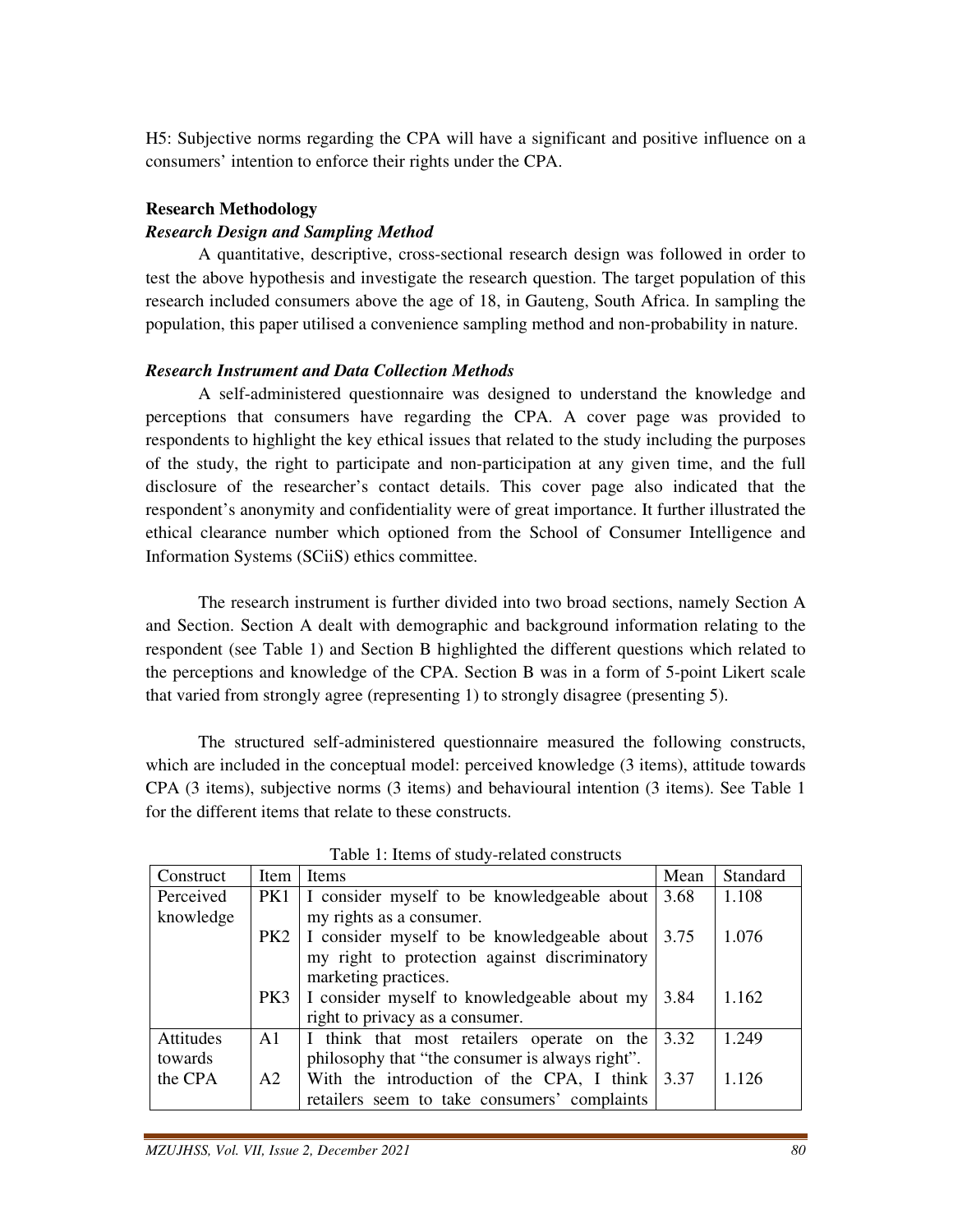H5: Subjective norms regarding the CPA will have a significant and positive influence on a consumers' intention to enforce their rights under the CPA.

#### **Research Methodology**

#### *Research Design and Sampling Method*

 A quantitative, descriptive, cross-sectional research design was followed in order to test the above hypothesis and investigate the research question. The target population of this research included consumers above the age of 18, in Gauteng, South Africa. In sampling the population, this paper utilised a convenience sampling method and non-probability in nature.

## *Research Instrument and Data Collection Methods*

 A self-administered questionnaire was designed to understand the knowledge and perceptions that consumers have regarding the CPA. A cover page was provided to respondents to highlight the key ethical issues that related to the study including the purposes of the study, the right to participate and non-participation at any given time, and the full disclosure of the researcher's contact details. This cover page also indicated that the respondent's anonymity and confidentiality were of great importance. It further illustrated the ethical clearance number which optioned from the School of Consumer Intelligence and Information Systems (SCiiS) ethics committee.

 The research instrument is further divided into two broad sections, namely Section A and Section. Section A dealt with demographic and background information relating to the respondent (see Table 1) and Section B highlighted the different questions which related to the perceptions and knowledge of the CPA. Section B was in a form of 5-point Likert scale that varied from strongly agree (representing 1) to strongly disagree (presenting 5).

 The structured self-administered questionnaire measured the following constructs, which are included in the conceptual model: perceived knowledge (3 items), attitude towards CPA (3 items), subjective norms (3 items) and behavioural intention (3 items). See Table 1 for the different items that relate to these constructs.

| Construct | Item           | <b>Items</b>                                       | Mean | Standard |
|-----------|----------------|----------------------------------------------------|------|----------|
| Perceived | PK1            | I consider myself to be knowledgeable about        | 3.68 | 1.108    |
| knowledge |                | my rights as a consumer.                           |      |          |
|           | PK2            | I consider myself to be knowledgeable about 3.75   |      | 1.076    |
|           |                | my right to protection against discriminatory      |      |          |
|           |                | marketing practices.                               |      |          |
|           | PK3            | I consider myself to knowledgeable about my        | 3.84 | 1.162    |
|           |                | right to privacy as a consumer.                    |      |          |
| Attitudes | A1             | I think that most retailers operate on the         | 3.32 | 1.249    |
| towards   |                | philosophy that "the consumer is always right".    |      |          |
| the CPA   | A <sub>2</sub> | With the introduction of the CPA, I think $ 3.37 $ |      | 1.126    |
|           |                | retailers seem to take consumers' complaints       |      |          |

Table 1: Items of study-related constructs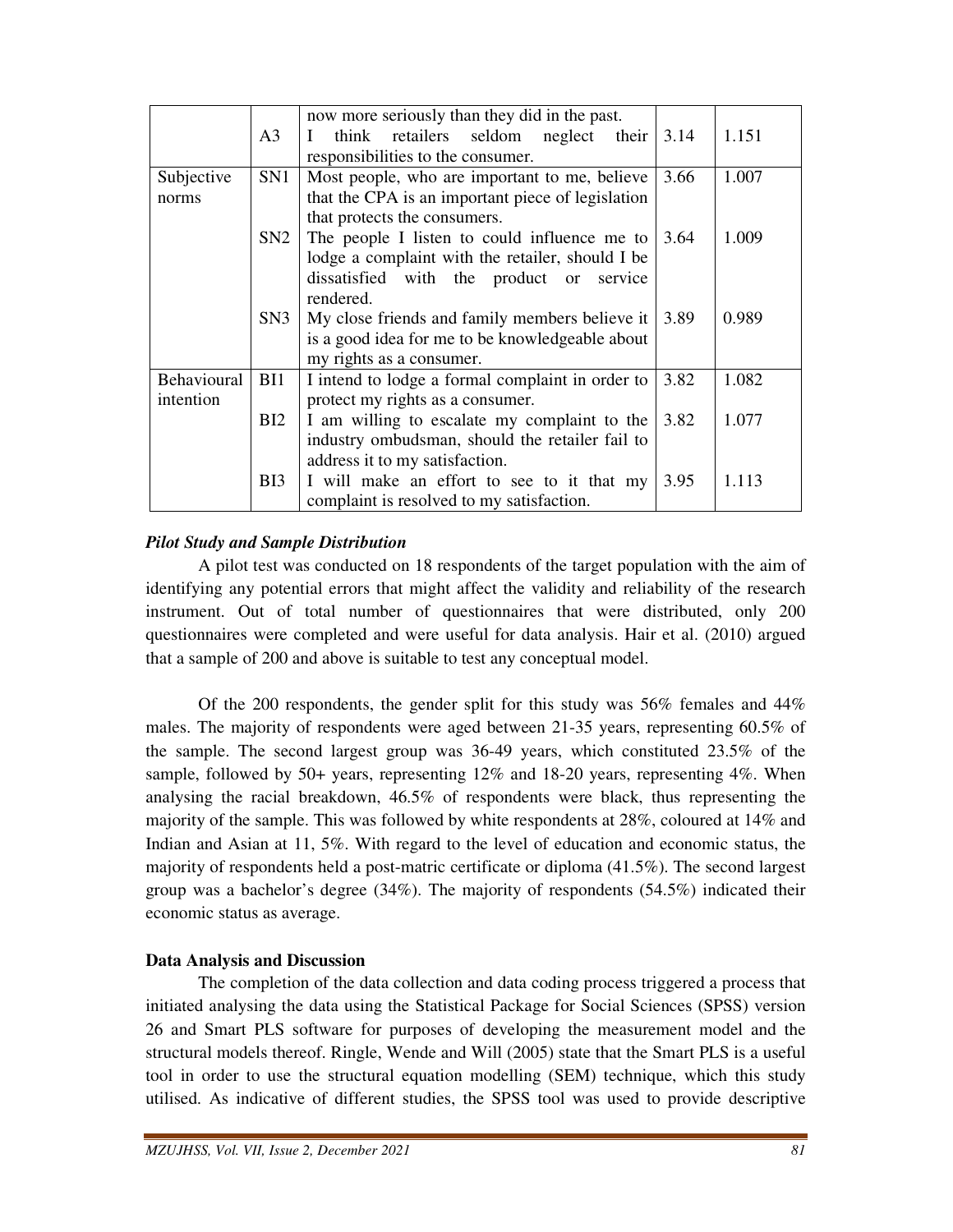|             |                 | now more seriously than they did in the past.        |      |       |
|-------------|-----------------|------------------------------------------------------|------|-------|
|             | A <sub>3</sub>  | think retailers seldom neglect their<br>$\mathbf{I}$ | 3.14 | 1.151 |
|             |                 | responsibilities to the consumer.                    |      |       |
| Subjective  | SN <sub>1</sub> | Most people, who are important to me, believe        | 3.66 | 1.007 |
| norms       |                 | that the CPA is an important piece of legislation    |      |       |
|             |                 | that protects the consumers.                         |      |       |
|             | SN2             | The people I listen to could influence me to         | 3.64 | 1.009 |
|             |                 | lodge a complaint with the retailer, should I be     |      |       |
|             |                 | dissatisfied with the product or service             |      |       |
|             |                 | rendered.                                            |      |       |
|             | SN3             | My close friends and family members believe it       | 3.89 | 0.989 |
|             |                 | is a good idea for me to be knowledgeable about      |      |       |
|             |                 | my rights as a consumer.                             |      |       |
| Behavioural | BI1             | I intend to lodge a formal complaint in order to     | 3.82 | 1.082 |
| intention   |                 | protect my rights as a consumer.                     |      |       |
|             | BI2             | I am willing to escalate my complaint to the         | 3.82 | 1.077 |
|             |                 | industry ombudsman, should the retailer fail to      |      |       |
|             |                 | address it to my satisfaction.                       |      |       |
|             | B <sub>I3</sub> | I will make an effort to see to it that my           | 3.95 | 1.113 |
|             |                 | complaint is resolved to my satisfaction.            |      |       |

## *Pilot Study and Sample Distribution*

 A pilot test was conducted on 18 respondents of the target population with the aim of identifying any potential errors that might affect the validity and reliability of the research instrument. Out of total number of questionnaires that were distributed, only 200 questionnaires were completed and were useful for data analysis. Hair et al. (2010) argued that a sample of 200 and above is suitable to test any conceptual model.

Of the 200 respondents, the gender split for this study was  $56\%$  females and  $44\%$ males. The majority of respondents were aged between 21-35 years, representing 60.5% of the sample. The second largest group was 36-49 years, which constituted 23.5% of the sample, followed by 50+ years, representing 12% and 18-20 years, representing 4%. When analysing the racial breakdown, 46.5% of respondents were black, thus representing the majority of the sample. This was followed by white respondents at 28%, coloured at 14% and Indian and Asian at 11, 5%. With regard to the level of education and economic status, the majority of respondents held a post-matric certificate or diploma (41.5%). The second largest group was a bachelor's degree (34%). The majority of respondents (54.5%) indicated their economic status as average.

## **Data Analysis and Discussion**

 The completion of the data collection and data coding process triggered a process that initiated analysing the data using the Statistical Package for Social Sciences (SPSS) version 26 and Smart PLS software for purposes of developing the measurement model and the structural models thereof. Ringle, Wende and Will (2005) state that the Smart PLS is a useful tool in order to use the structural equation modelling (SEM) technique, which this study utilised. As indicative of different studies, the SPSS tool was used to provide descriptive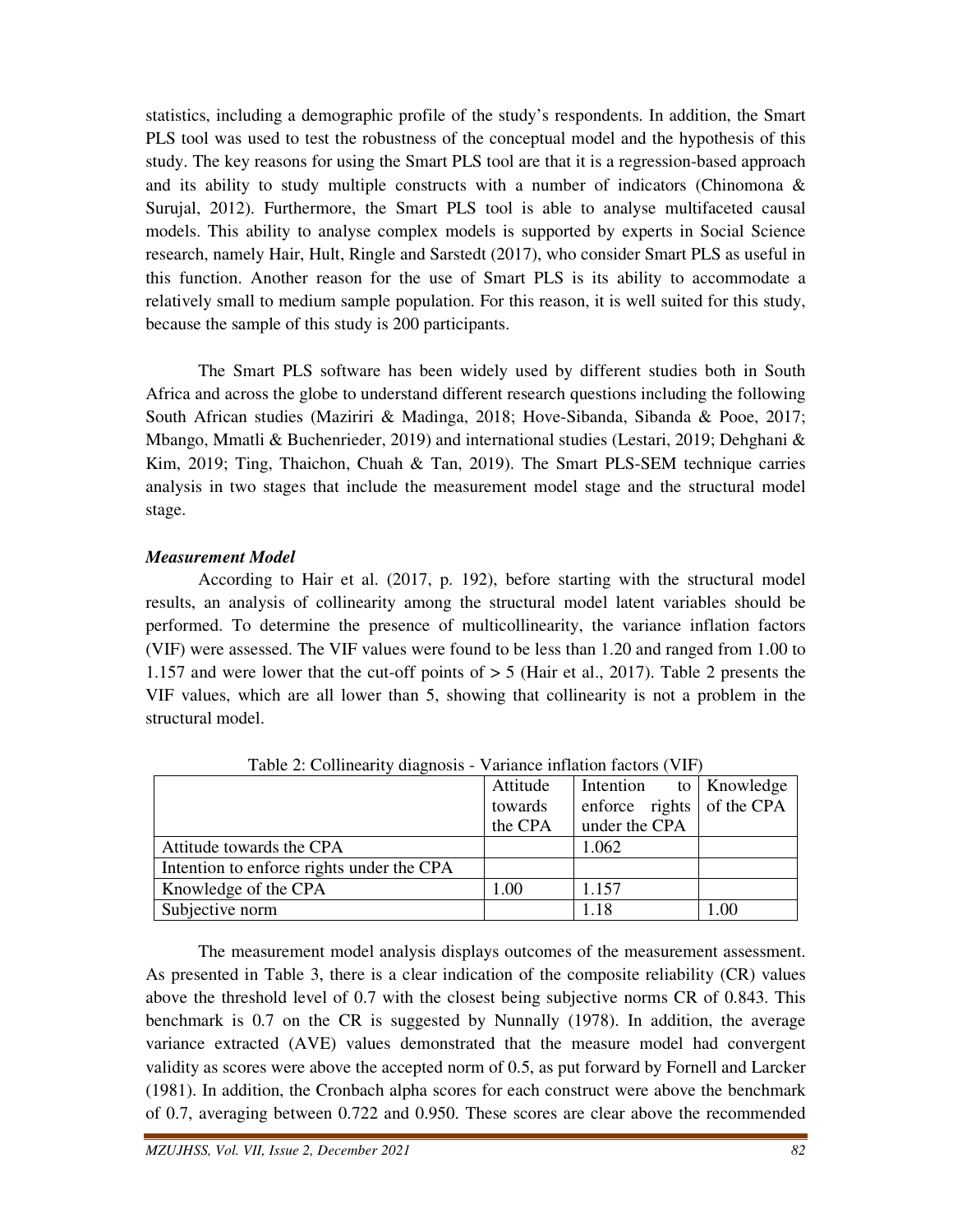statistics, including a demographic profile of the study's respondents. In addition, the Smart PLS tool was used to test the robustness of the conceptual model and the hypothesis of this study. The key reasons for using the Smart PLS tool are that it is a regression-based approach and its ability to study multiple constructs with a number of indicators (Chinomona  $\&$ Surujal, 2012). Furthermore, the Smart PLS tool is able to analyse multifaceted causal models. This ability to analyse complex models is supported by experts in Social Science research, namely Hair, Hult, Ringle and Sarstedt (2017), who consider Smart PLS as useful in this function. Another reason for the use of Smart PLS is its ability to accommodate a relatively small to medium sample population. For this reason, it is well suited for this study, because the sample of this study is 200 participants.

 The Smart PLS software has been widely used by different studies both in South Africa and across the globe to understand different research questions including the following South African studies (Maziriri & Madinga, 2018; Hove-Sibanda, Sibanda & Pooe, 2017; Mbango, Mmatli & Buchenrieder, 2019) and international studies (Lestari, 2019; Dehghani & Kim, 2019; Ting, Thaichon, Chuah & Tan, 2019). The Smart PLS-SEM technique carries analysis in two stages that include the measurement model stage and the structural model stage.

#### *Measurement Model*

 According to Hair et al. (2017, p. 192), before starting with the structural model results, an analysis of collinearity among the structural model latent variables should be performed. To determine the presence of multicollinearity, the variance inflation factors (VIF) were assessed. The VIF values were found to be less than 1.20 and ranged from 1.00 to 1.157 and were lower that the cut-off points of > 5 (Hair et al., 2017). Table 2 presents the VIF values, which are all lower than 5, showing that collinearity is not a problem in the structural model.

| $\frac{1}{2}$ . Commeant, and hosts       | $\frac{1}{2}$ |                           |      |
|-------------------------------------------|---------------|---------------------------|------|
|                                           | Attitude      | Intention to Knowledge    |      |
|                                           | towards       | enforce rights of the CPA |      |
|                                           | the CPA       | under the CPA             |      |
| Attitude towards the CPA                  |               | 1.062                     |      |
| Intention to enforce rights under the CPA |               |                           |      |
| Knowledge of the CPA                      | 1.00          | 1.157                     |      |
| Subjective norm                           |               | 1.18                      | 1.00 |

Table 2: Collinearity diagnosis - Variance inflation factors (VIF)

 The measurement model analysis displays outcomes of the measurement assessment. As presented in Table 3, there is a clear indication of the composite reliability (CR) values above the threshold level of 0.7 with the closest being subjective norms CR of 0.843. This benchmark is 0.7 on the CR is suggested by Nunnally (1978). In addition, the average variance extracted (AVE) values demonstrated that the measure model had convergent validity as scores were above the accepted norm of 0.5, as put forward by Fornell and Larcker (1981). In addition, the Cronbach alpha scores for each construct were above the benchmark of 0.7, averaging between 0.722 and 0.950. These scores are clear above the recommended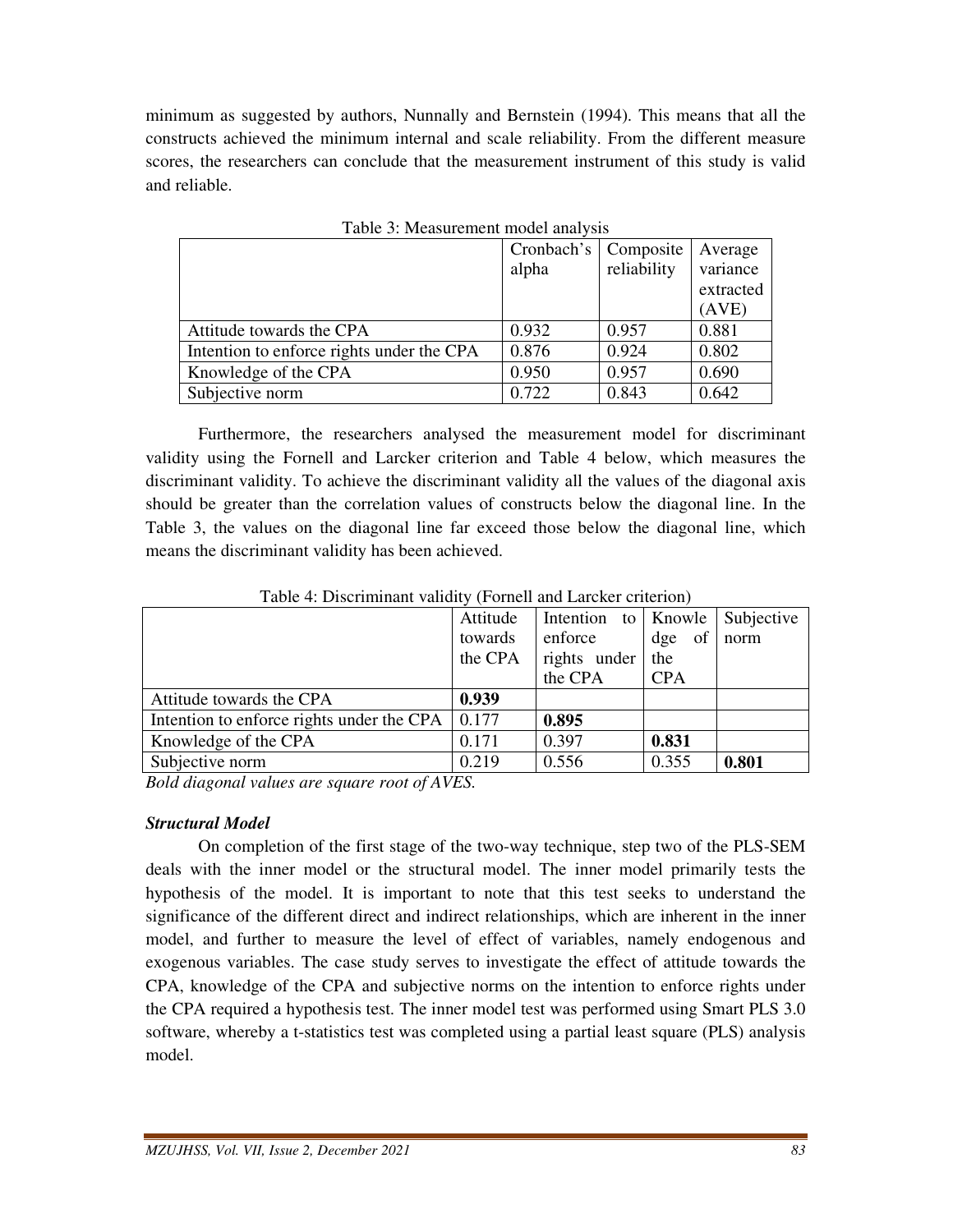minimum as suggested by authors, Nunnally and Bernstein (1994). This means that all the constructs achieved the minimum internal and scale reliability. From the different measure scores, the researchers can conclude that the measurement instrument of this study is valid and reliable.

| raone of micabarement moder and foll      |            |             |           |  |  |  |
|-------------------------------------------|------------|-------------|-----------|--|--|--|
|                                           | Cronbach's | Composite   | Average   |  |  |  |
|                                           | alpha      | reliability | variance  |  |  |  |
|                                           |            |             | extracted |  |  |  |
|                                           |            |             | (AVE)     |  |  |  |
| Attitude towards the CPA                  | 0.932      | 0.957       | 0.881     |  |  |  |
| Intention to enforce rights under the CPA | 0.876      | 0.924       | 0.802     |  |  |  |
| Knowledge of the CPA                      | 0.950      | 0.957       | 0.690     |  |  |  |
| Subjective norm                           | 0.722      | 0.843       | 0.642     |  |  |  |

Table 3: Measurement model analysis

 Furthermore, the researchers analysed the measurement model for discriminant validity using the Fornell and Larcker criterion and Table 4 below, which measures the discriminant validity. To achieve the discriminant validity all the values of the diagonal axis should be greater than the correlation values of constructs below the diagonal line. In the Table 3, the values on the diagonal line far exceed those below the diagonal line, which means the discriminant validity has been achieved.

| Tuote ", Dhochmmunt", unture, "I officit und Lufench chiterion" |          |                     |                        |                   |  |  |  |
|-----------------------------------------------------------------|----------|---------------------|------------------------|-------------------|--|--|--|
|                                                                 | Attitude | Intention to Knowle |                        | <i>Subjective</i> |  |  |  |
|                                                                 | towards  | enforce             | of <sub>l</sub><br>dge | norm              |  |  |  |
|                                                                 | the CPA  | rights under        | the                    |                   |  |  |  |
|                                                                 |          | the CPA             | <b>CPA</b>             |                   |  |  |  |
| Attitude towards the CPA                                        | 0.939    |                     |                        |                   |  |  |  |
| Intention to enforce rights under the CPA                       | 0.177    | 0.895               |                        |                   |  |  |  |
| Knowledge of the CPA                                            | 0.171    | 0.397               | 0.831                  |                   |  |  |  |
| Subjective norm                                                 | 0.219    | 0.556               | 0.355                  | 0.801             |  |  |  |
|                                                                 |          |                     |                        |                   |  |  |  |

Table 4: Discriminant validity (Fornell and Larcker criterion)

*Bold diagonal values are square root of AVES.* 

## *Structural Model*

 On completion of the first stage of the two-way technique, step two of the PLS-SEM deals with the inner model or the structural model. The inner model primarily tests the hypothesis of the model. It is important to note that this test seeks to understand the significance of the different direct and indirect relationships, which are inherent in the inner model, and further to measure the level of effect of variables, namely endogenous and exogenous variables. The case study serves to investigate the effect of attitude towards the CPA, knowledge of the CPA and subjective norms on the intention to enforce rights under the CPA required a hypothesis test. The inner model test was performed using Smart PLS 3.0 software, whereby a t-statistics test was completed using a partial least square (PLS) analysis model.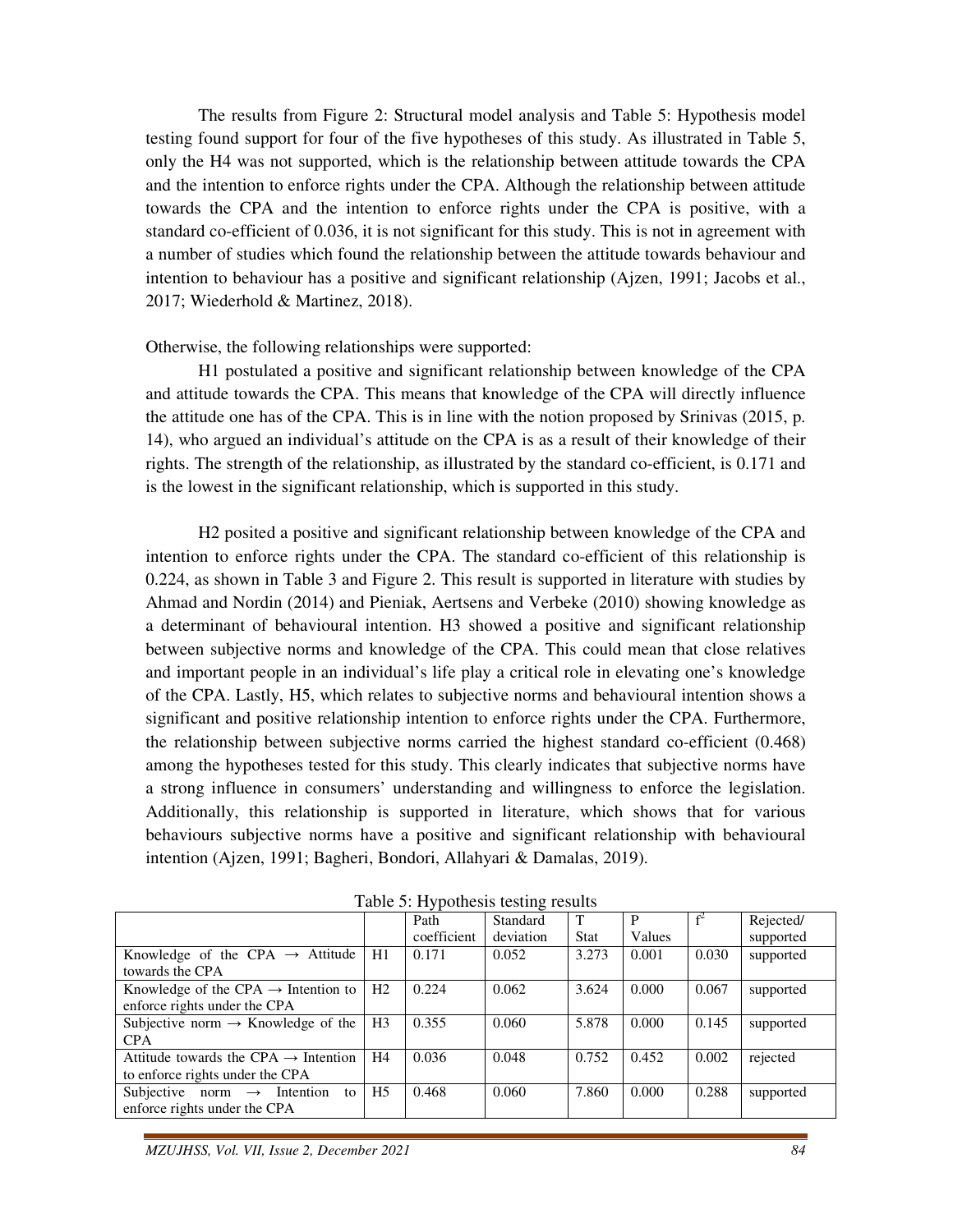The results from Figure 2: Structural model analysis and Table 5: Hypothesis model testing found support for four of the five hypotheses of this study. As illustrated in Table 5, only the H4 was not supported, which is the relationship between attitude towards the CPA and the intention to enforce rights under the CPA. Although the relationship between attitude towards the CPA and the intention to enforce rights under the CPA is positive, with a standard co-efficient of 0.036, it is not significant for this study. This is not in agreement with a number of studies which found the relationship between the attitude towards behaviour and intention to behaviour has a positive and significant relationship (Ajzen, 1991; Jacobs et al., 2017; Wiederhold & Martinez, 2018).

Otherwise, the following relationships were supported:

 H1 postulated a positive and significant relationship between knowledge of the CPA and attitude towards the CPA. This means that knowledge of the CPA will directly influence the attitude one has of the CPA. This is in line with the notion proposed by Srinivas (2015, p. 14), who argued an individual's attitude on the CPA is as a result of their knowledge of their rights. The strength of the relationship, as illustrated by the standard co-efficient, is 0.171 and is the lowest in the significant relationship, which is supported in this study.

 H2 posited a positive and significant relationship between knowledge of the CPA and intention to enforce rights under the CPA. The standard co-efficient of this relationship is 0.224, as shown in Table 3 and Figure 2. This result is supported in literature with studies by Ahmad and Nordin (2014) and Pieniak, Aertsens and Verbeke (2010) showing knowledge as a determinant of behavioural intention. H3 showed a positive and significant relationship between subjective norms and knowledge of the CPA. This could mean that close relatives and important people in an individual's life play a critical role in elevating one's knowledge of the CPA. Lastly, H5, which relates to subjective norms and behavioural intention shows a significant and positive relationship intention to enforce rights under the CPA. Furthermore, the relationship between subjective norms carried the highest standard co-efficient (0.468) among the hypotheses tested for this study. This clearly indicates that subjective norms have a strong influence in consumers' understanding and willingness to enforce the legislation. Additionally, this relationship is supported in literature, which shows that for various behaviours subjective norms have a positive and significant relationship with behavioural intention (Ajzen, 1991; Bagheri, Bondori, Allahyari & Damalas, 2019).

| $10000$ $\sigma$ . $11$ , pothes to $\sigma$ $\sigma$ $\sigma$ $\sigma$ $\sigma$ $\sigma$ |                |             |           |             |        |       |           |
|-------------------------------------------------------------------------------------------|----------------|-------------|-----------|-------------|--------|-------|-----------|
|                                                                                           |                | Path        | Standard  | T           |        |       | Rejected/ |
|                                                                                           |                | coefficient | deviation | <b>Stat</b> | Values |       | supported |
| Knowledge of the CPA $\rightarrow$ Attitude                                               | H1             | 0.171       | 0.052     | 3.273       | 0.001  | 0.030 | supported |
| towards the CPA                                                                           |                |             |           |             |        |       |           |
| Knowledge of the CPA $\rightarrow$ Intention to                                           | H2             | 0.224       | 0.062     | 3.624       | 0.000  | 0.067 | supported |
| enforce rights under the CPA                                                              |                |             |           |             |        |       |           |
| Subjective norm $\rightarrow$ Knowledge of the                                            | H <sub>3</sub> | 0.355       | 0.060     | 5.878       | 0.000  | 0.145 | supported |
| <b>CPA</b>                                                                                |                |             |           |             |        |       |           |
| Attitude towards the CPA $\rightarrow$ Intention                                          | H4             | 0.036       | 0.048     | 0.752       | 0.452  | 0.002 | rejected  |
| to enforce rights under the CPA                                                           |                |             |           |             |        |       |           |
| Subjective norm $\rightarrow$<br>Intention<br>to                                          | H <sub>5</sub> | 0.468       | 0.060     | 7.860       | 0.000  | 0.288 | supported |
| enforce rights under the CPA                                                              |                |             |           |             |        |       |           |
|                                                                                           |                |             |           |             |        |       |           |

Table 5: Hypothesis testing results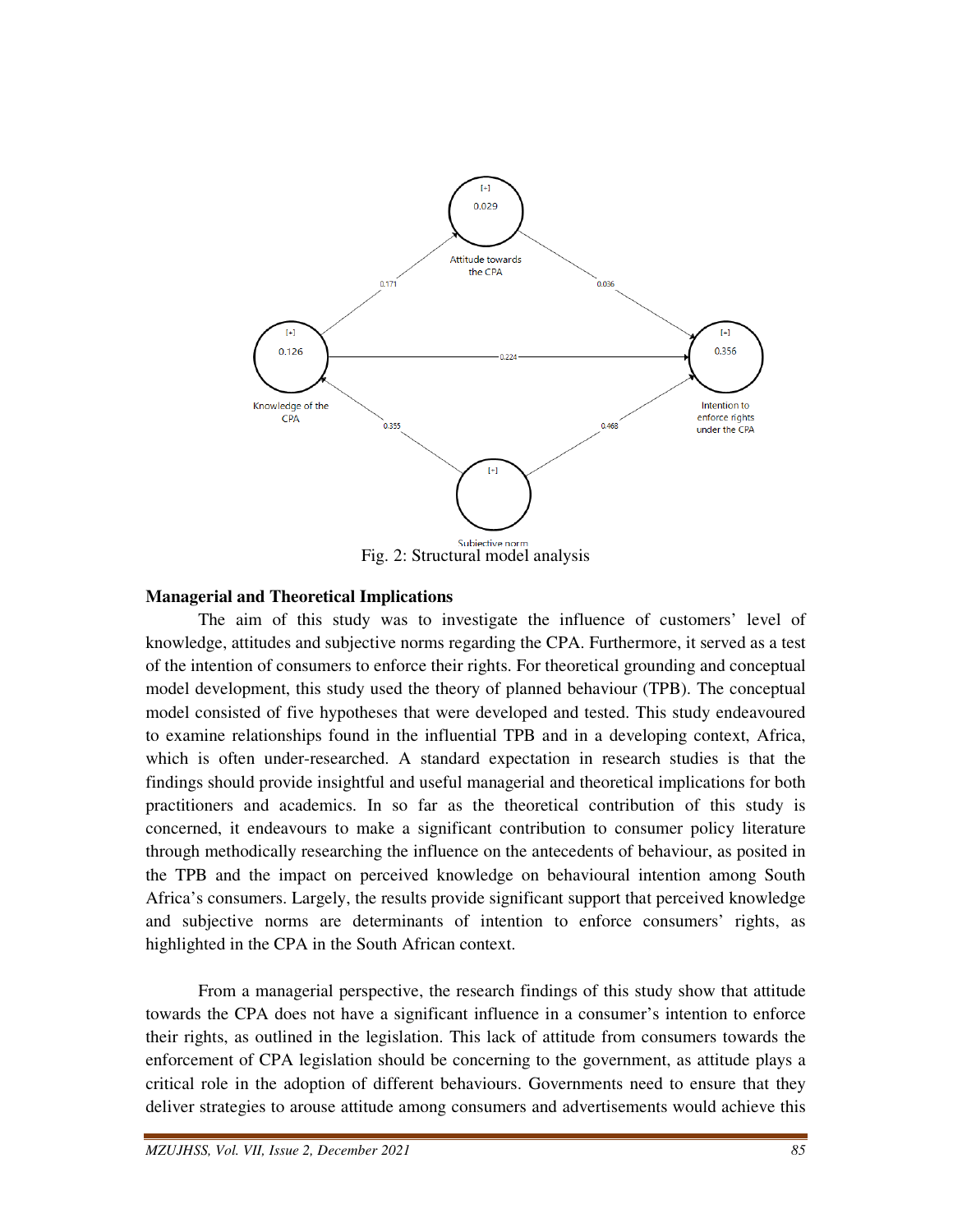

#### **Managerial and Theoretical Implications**

 The aim of this study was to investigate the influence of customers' level of knowledge, attitudes and subjective norms regarding the CPA. Furthermore, it served as a test of the intention of consumers to enforce their rights. For theoretical grounding and conceptual model development, this study used the theory of planned behaviour (TPB). The conceptual model consisted of five hypotheses that were developed and tested. This study endeavoured to examine relationships found in the influential TPB and in a developing context, Africa, which is often under-researched. A standard expectation in research studies is that the findings should provide insightful and useful managerial and theoretical implications for both practitioners and academics. In so far as the theoretical contribution of this study is concerned, it endeavours to make a significant contribution to consumer policy literature through methodically researching the influence on the antecedents of behaviour, as posited in the TPB and the impact on perceived knowledge on behavioural intention among South Africa's consumers. Largely, the results provide significant support that perceived knowledge and subjective norms are determinants of intention to enforce consumers' rights, as highlighted in the CPA in the South African context.

 From a managerial perspective, the research findings of this study show that attitude towards the CPA does not have a significant influence in a consumer's intention to enforce their rights, as outlined in the legislation. This lack of attitude from consumers towards the enforcement of CPA legislation should be concerning to the government, as attitude plays a critical role in the adoption of different behaviours. Governments need to ensure that they deliver strategies to arouse attitude among consumers and advertisements would achieve this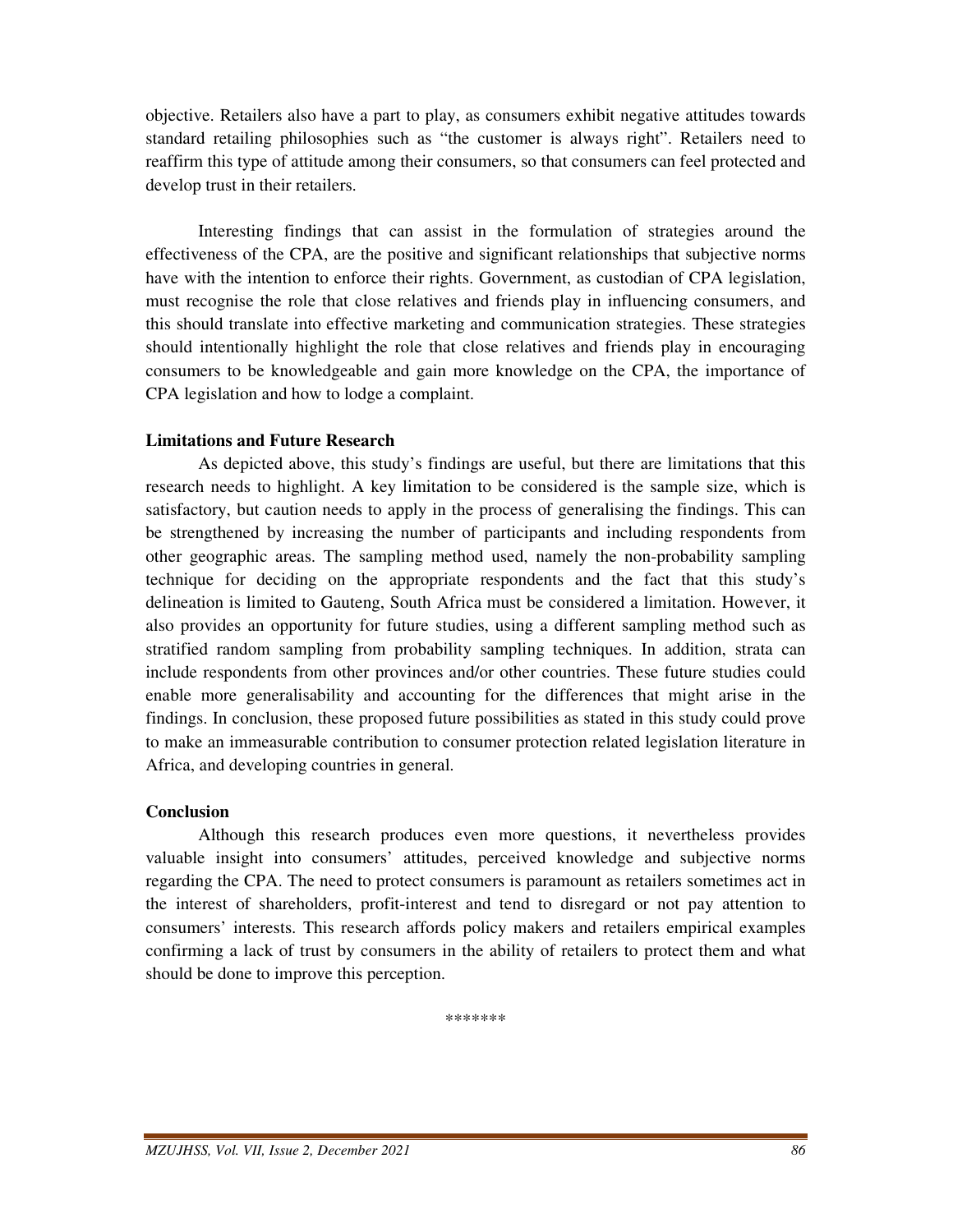objective. Retailers also have a part to play, as consumers exhibit negative attitudes towards standard retailing philosophies such as "the customer is always right". Retailers need to reaffirm this type of attitude among their consumers, so that consumers can feel protected and develop trust in their retailers.

 Interesting findings that can assist in the formulation of strategies around the effectiveness of the CPA, are the positive and significant relationships that subjective norms have with the intention to enforce their rights. Government, as custodian of CPA legislation, must recognise the role that close relatives and friends play in influencing consumers, and this should translate into effective marketing and communication strategies. These strategies should intentionally highlight the role that close relatives and friends play in encouraging consumers to be knowledgeable and gain more knowledge on the CPA, the importance of CPA legislation and how to lodge a complaint.

#### **Limitations and Future Research**

 As depicted above, this study's findings are useful, but there are limitations that this research needs to highlight. A key limitation to be considered is the sample size, which is satisfactory, but caution needs to apply in the process of generalising the findings. This can be strengthened by increasing the number of participants and including respondents from other geographic areas. The sampling method used, namely the non-probability sampling technique for deciding on the appropriate respondents and the fact that this study's delineation is limited to Gauteng, South Africa must be considered a limitation. However, it also provides an opportunity for future studies, using a different sampling method such as stratified random sampling from probability sampling techniques. In addition, strata can include respondents from other provinces and/or other countries. These future studies could enable more generalisability and accounting for the differences that might arise in the findings. In conclusion, these proposed future possibilities as stated in this study could prove to make an immeasurable contribution to consumer protection related legislation literature in Africa, and developing countries in general.

#### **Conclusion**

 Although this research produces even more questions, it nevertheless provides valuable insight into consumers' attitudes, perceived knowledge and subjective norms regarding the CPA. The need to protect consumers is paramount as retailers sometimes act in the interest of shareholders, profit-interest and tend to disregard or not pay attention to consumers' interests. This research affords policy makers and retailers empirical examples confirming a lack of trust by consumers in the ability of retailers to protect them and what should be done to improve this perception.

\*\*\*\*\*\*\*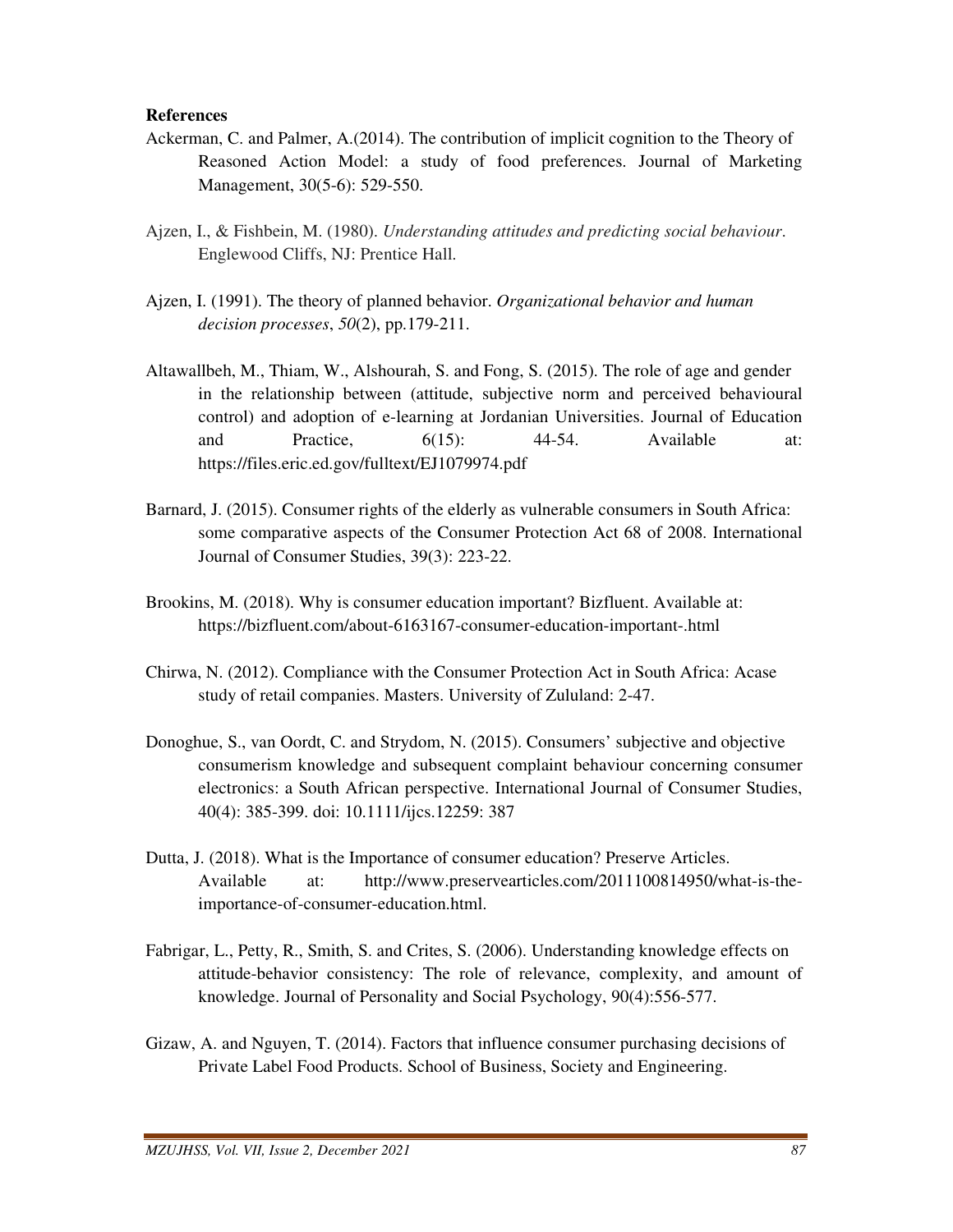#### **References**

- Ackerman, C. and Palmer, A.(2014). The contribution of implicit cognition to the Theory of Reasoned Action Model: a study of food preferences. Journal of Marketing Management, 30(5-6): 529-550.
- Ajzen, I., & Fishbein, M. (1980). *Understanding attitudes and predicting social behaviour*. Englewood Cliffs, NJ: Prentice Hall.
- Ajzen, I. (1991). The theory of planned behavior. *Organizational behavior and human decision processes*, *50*(2), pp.179-211.
- Altawallbeh, M., Thiam, W., Alshourah, S. and Fong, S. (2015). The role of age and gender in the relationship between (attitude, subjective norm and perceived behavioural control) and adoption of e-learning at Jordanian Universities. Journal of Education and Practice,  $6(15)$ : 44-54. Available at: https://files.eric.ed.gov/fulltext/EJ1079974.pdf
- Barnard, J. (2015). Consumer rights of the elderly as vulnerable consumers in South Africa: some comparative aspects of the Consumer Protection Act 68 of 2008. International Journal of Consumer Studies, 39(3): 223-22.
- Brookins, M. (2018). Why is consumer education important? Bizfluent. Available at: https://bizfluent.com/about-6163167-consumer-education-important-.html
- Chirwa, N. (2012). Compliance with the Consumer Protection Act in South Africa: Acase study of retail companies. Masters. University of Zululand: 2-47.
- Donoghue, S., van Oordt, C. and Strydom, N. (2015). Consumers' subjective and objective consumerism knowledge and subsequent complaint behaviour concerning consumer electronics: a South African perspective. International Journal of Consumer Studies, 40(4): 385-399. doi: 10.1111/ijcs.12259: 387
- Dutta, J. (2018). What is the Importance of consumer education? Preserve Articles. Available at: http://www.preservearticles.com/2011100814950/what-is-the importance-of-consumer-education.html.
- Fabrigar, L., Petty, R., Smith, S. and Crites, S. (2006). Understanding knowledge effects on attitude-behavior consistency: The role of relevance, complexity, and amount of knowledge. Journal of Personality and Social Psychology, 90(4):556-577.
- Gizaw, A. and Nguyen, T. (2014). Factors that influence consumer purchasing decisions of Private Label Food Products. School of Business, Society and Engineering.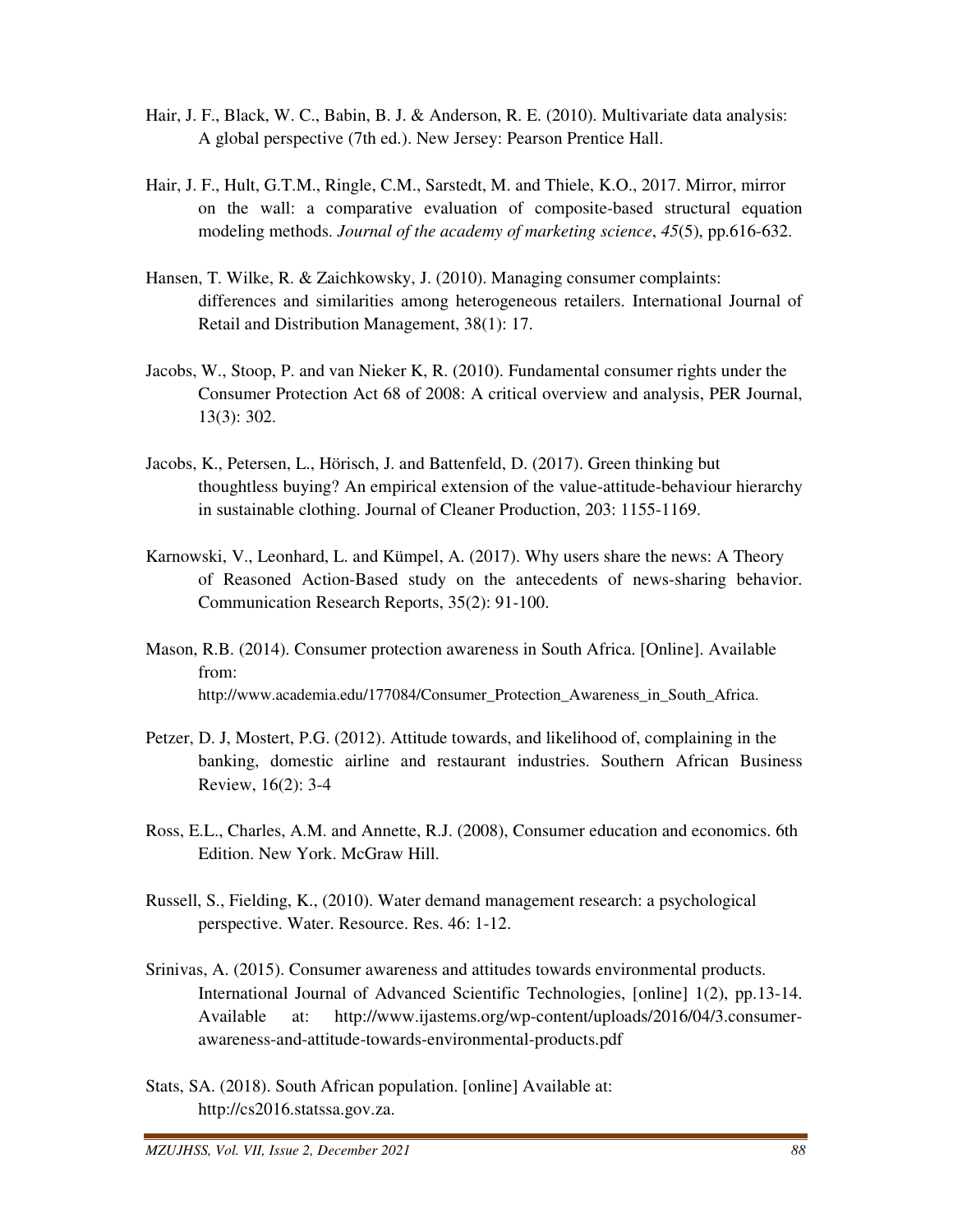- Hair, J. F., Black, W. C., Babin, B. J. & Anderson, R. E. (2010). Multivariate data analysis: A global perspective (7th ed.). New Jersey: Pearson Prentice Hall.
- Hair, J. F., Hult, G.T.M., Ringle, C.M., Sarstedt, M. and Thiele, K.O., 2017. Mirror, mirror on the wall: a comparative evaluation of composite-based structural equation modeling methods. *Journal of the academy of marketing science*, *45*(5), pp.616-632.
- Hansen, T. Wilke, R. & Zaichkowsky, J. (2010). Managing consumer complaints: differences and similarities among heterogeneous retailers. International Journal of Retail and Distribution Management, 38(1): 17.
- Jacobs, W., Stoop, P. and van Nieker K, R. (2010). Fundamental consumer rights under the Consumer Protection Act 68 of 2008: A critical overview and analysis, PER Journal, 13(3): 302.
- Jacobs, K., Petersen, L., Hörisch, J. and Battenfeld, D. (2017). Green thinking but thoughtless buying? An empirical extension of the value-attitude-behaviour hierarchy in sustainable clothing. Journal of Cleaner Production, 203: 1155-1169.
- Karnowski, V., Leonhard, L. and Kümpel, A. (2017). Why users share the news: A Theory of Reasoned Action-Based study on the antecedents of news-sharing behavior. Communication Research Reports, 35(2): 91-100.
- Mason, R.B. (2014). Consumer protection awareness in South Africa. [Online]. Available from: http://www.academia.edu/177084/Consumer\_Protection\_Awareness\_in\_South\_Africa.
- Petzer, D. J, Mostert, P.G. (2012). Attitude towards, and likelihood of, complaining in the banking, domestic airline and restaurant industries. Southern African Business Review, 16(2): 3-4
- Ross, E.L., Charles, A.M. and Annette, R.J. (2008), Consumer education and economics. 6th Edition. New York. McGraw Hill.
- Russell, S., Fielding, K., (2010). Water demand management research: a psychological perspective. Water. Resource. Res. 46: 1-12.
- Srinivas, A. (2015). Consumer awareness and attitudes towards environmental products. International Journal of Advanced Scientific Technologies, [online] 1(2), pp.13-14. Available at: http://www.ijastems.org/wp-content/uploads/2016/04/3.consumer awareness-and-attitude-towards-environmental-products.pdf
- Stats, SA. (2018). South African population. [online] Available at: http://cs2016.statssa.gov.za.